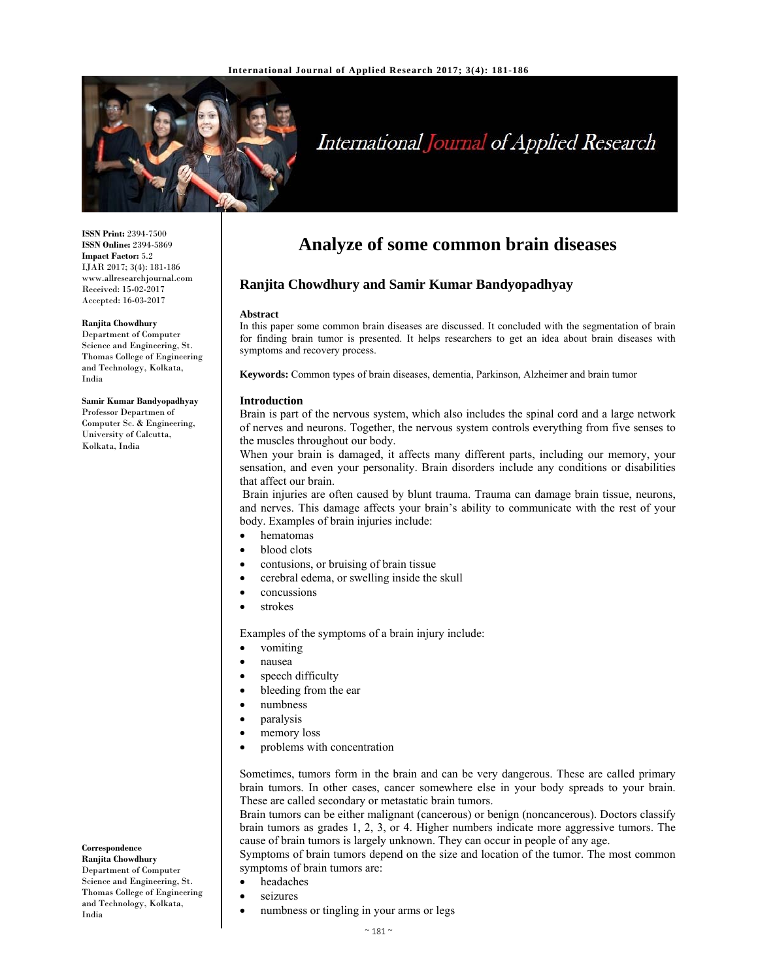

# International Journal of Applied Research

**ISSN Print:** 2394-7500 **ISSN Online:** 2394-5869 **Impact Factor:** 5.2 IJAR 2017; 3(4): 181-186 www.allresearchjournal.com Received: 15-02-2017 Accepted: 16-03-2017

#### **Ranjita Chowdhury**

Department of Computer Science and Engineering, St. Thomas College of Engineering and Technology, Kolkata, India

#### **Samir Kumar Bandyopadhyay**

Professor Departmen of Computer Sc. & Engineering, University of Calcutta, Kolkata, India

# **Analyze of some common brain diseases**

# **Ranjita Chowdhury and Samir Kumar Bandyopadhyay**

#### **Abstract**

In this paper some common brain diseases are discussed. It concluded with the segmentation of brain for finding brain tumor is presented. It helps researchers to get an idea about brain diseases with symptoms and recovery process.

**Keywords:** Common types of brain diseases, dementia, Parkinson, Alzheimer and brain tumor

#### **Introduction**

Brain is part of the nervous system, which also includes the spinal cord and a large network of nerves and neurons. Together, the nervous system controls everything from five senses to the muscles throughout our body.

When your brain is damaged, it affects many different parts, including our memory, your sensation, and even your personality. Brain disorders include any conditions or disabilities that affect our brain.

 Brain injuries are often caused by blunt trauma. Trauma can damage brain tissue, neurons, and nerves. This damage affects your brain's ability to communicate with the rest of your body. Examples of brain injuries include:

- hematomas
- blood clots
- contusions, or bruising of brain tissue
- cerebral edema, or swelling inside the skull
- concussions
- strokes

Examples of the symptoms of a brain injury include:

- vomiting
- nausea
- speech difficulty
- bleeding from the ear
- numbness
- paralysis
- memory loss
- problems with concentration

Sometimes, tumors form in the brain and can be very dangerous. These are called primary brain tumors. In other cases, cancer somewhere else in your body spreads to your brain. These are called secondary or metastatic brain tumors.

Brain tumors can be either malignant (cancerous) or benign (noncancerous). Doctors classify brain tumors as grades 1, 2, 3, or 4. Higher numbers indicate more aggressive tumors. The cause of brain tumors is largely unknown. They can occur in people of any age.

Symptoms of brain tumors depend on the size and location of the tumor. The most common symptoms of brain tumors are:

- headaches
	- seizures
- numbness or tingling in your arms or legs

# **Correspondence**

**Ranjita Chowdhury**  Department of Computer Science and Engineering, St. Thomas College of Engineering and Technology, Kolkata, India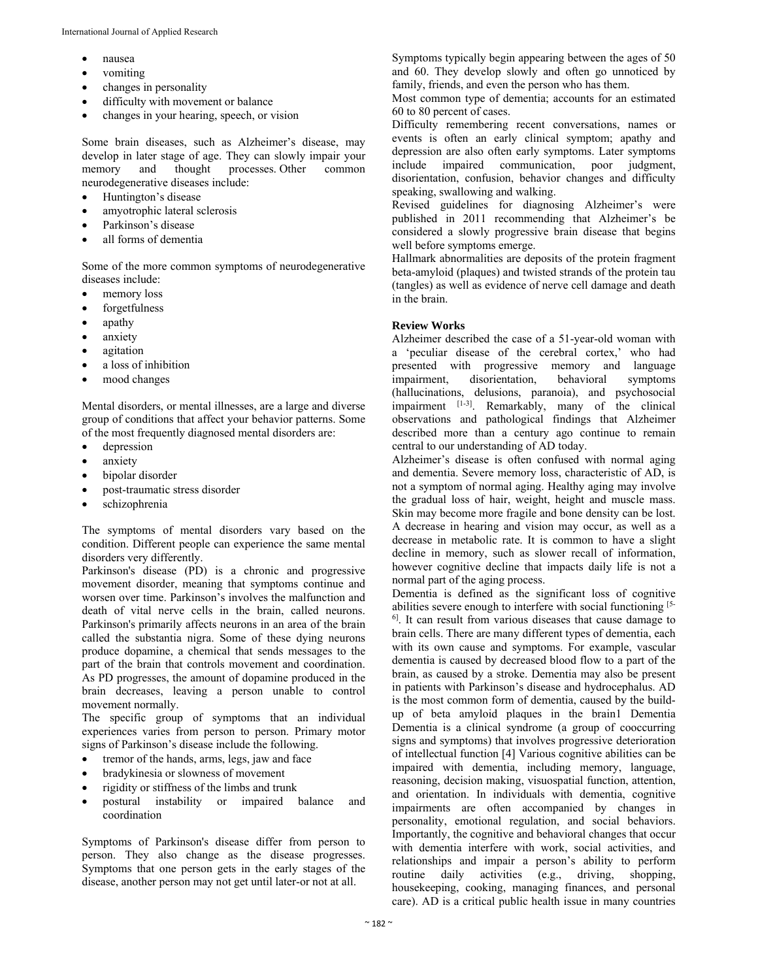- nausea
- vomiting
- changes in personality
- difficulty with movement or balance
- changes in your hearing, speech, or vision

Some brain diseases, such as Alzheimer's disease, may develop in later stage of age. They can slowly impair your memory and thought processes. Other common neurodegenerative diseases include:

- Huntington's disease
- amyotrophic lateral sclerosis
- Parkinson's disease
- all forms of dementia

Some of the more common symptoms of neurodegenerative diseases include:

- memory loss
- forgetfulness
- apathy
- anxiety
- agitation
- a loss of inhibition
- mood changes

Mental disorders, or mental illnesses, are a large and diverse group of conditions that affect your behavior patterns. Some of the most frequently diagnosed mental disorders are:

- depression
- anxiety
- bipolar disorder
- post-traumatic stress disorder
- schizophrenia

The symptoms of mental disorders vary based on the condition. Different people can experience the same mental disorders very differently.

Parkinson's disease (PD) is a chronic and progressive movement disorder, meaning that symptoms continue and worsen over time. Parkinson's involves the malfunction and death of vital nerve cells in the brain, called neurons. Parkinson's primarily affects neurons in an area of the brain called the substantia nigra. Some of these dying neurons produce dopamine, a chemical that sends messages to the part of the brain that controls movement and coordination. As PD progresses, the amount of dopamine produced in the brain decreases, leaving a person unable to control movement normally.

The specific group of symptoms that an individual experiences varies from person to person. Primary motor signs of Parkinson's disease include the following.

- tremor of the hands, arms, legs, jaw and face
- bradykinesia or slowness of movement
- rigidity or stiffness of the limbs and trunk
- postural instability or impaired balance and coordination

Symptoms of Parkinson's disease differ from person to person. They also change as the disease progresses. Symptoms that one person gets in the early stages of the disease, another person may not get until later-or not at all.

Symptoms typically begin appearing between the ages of 50 and 60. They develop slowly and often go unnoticed by family, friends, and even the person who has them.

Most common type of dementia; accounts for an estimated 60 to 80 percent of cases.

Difficulty remembering recent conversations, names or events is often an early clinical symptom; apathy and depression are also often early symptoms. Later symptoms include impaired communication, poor judgment, disorientation, confusion, behavior changes and difficulty speaking, swallowing and walking.

Revised guidelines for diagnosing Alzheimer's were published in 2011 recommending that Alzheimer's be considered a slowly progressive brain disease that begins well before symptoms emerge.

Hallmark abnormalities are deposits of the protein fragment beta-amyloid (plaques) and twisted strands of the protein tau (tangles) as well as evidence of nerve cell damage and death in the brain.

# **Review Works**

Alzheimer described the case of a 51-year-old woman with a 'peculiar disease of the cerebral cortex,' who had presented with progressive memory and language impairment, disorientation, behavioral symptoms (hallucinations, delusions, paranoia), and psychosocial impairment [1-3]. Remarkably, many of the clinical observations and pathological findings that Alzheimer described more than a century ago continue to remain central to our understanding of AD today.

Alzheimer's disease is often confused with normal aging and dementia. Severe memory loss, characteristic of AD, is not a symptom of normal aging. Healthy aging may involve the gradual loss of hair, weight, height and muscle mass. Skin may become more fragile and bone density can be lost. A decrease in hearing and vision may occur, as well as a decrease in metabolic rate. It is common to have a slight decline in memory, such as slower recall of information, however cognitive decline that impacts daily life is not a normal part of the aging process.

Dementia is defined as the significant loss of cognitive abilities severe enough to interfere with social functioning [5- <sup>6]</sup>. It can result from various diseases that cause damage to brain cells. There are many different types of dementia, each with its own cause and symptoms. For example, vascular dementia is caused by decreased blood flow to a part of the brain, as caused by a stroke. Dementia may also be present in patients with Parkinson's disease and hydrocephalus. AD is the most common form of dementia, caused by the buildup of beta amyloid plaques in the brain1 Dementia Dementia is a clinical syndrome (a group of cooccurring signs and symptoms) that involves progressive deterioration of intellectual function [4] Various cognitive abilities can be impaired with dementia, including memory, language, reasoning, decision making, visuospatial function, attention, and orientation. In individuals with dementia, cognitive impairments are often accompanied by changes in personality, emotional regulation, and social behaviors. Importantly, the cognitive and behavioral changes that occur with dementia interfere with work, social activities, and relationships and impair a person's ability to perform routine daily activities (e.g., driving, shopping, housekeeping, cooking, managing finances, and personal care). AD is a critical public health issue in many countries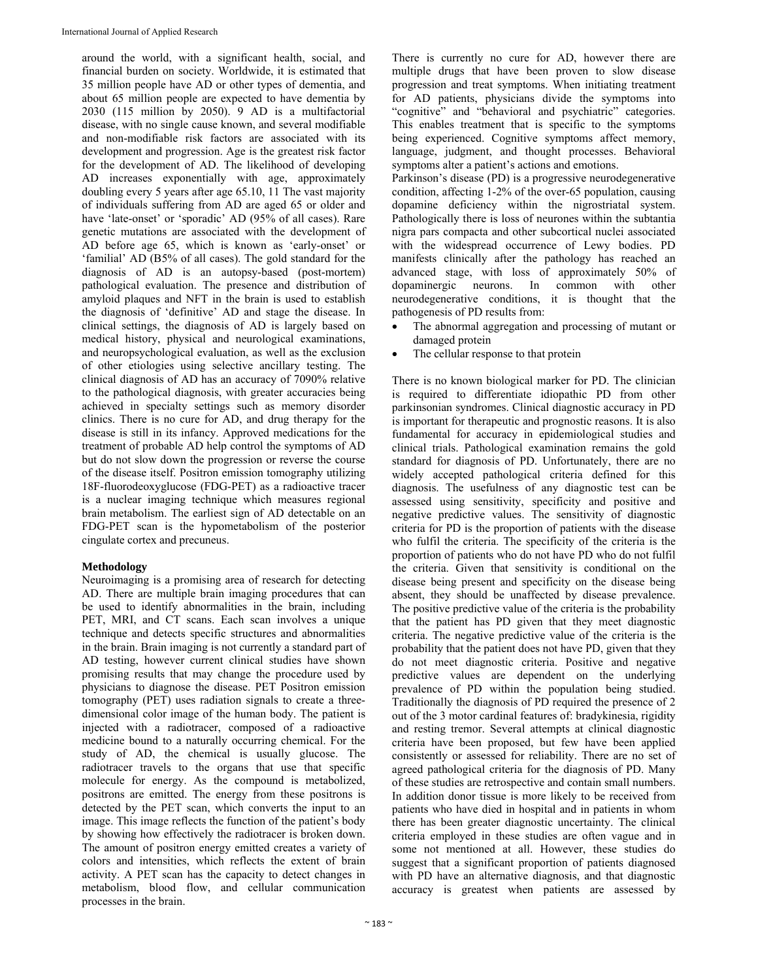around the world, with a significant health, social, and financial burden on society. Worldwide, it is estimated that 35 million people have AD or other types of dementia, and about 65 million people are expected to have dementia by 2030 (115 million by 2050). 9 AD is a multifactorial disease, with no single cause known, and several modifiable and non-modifiable risk factors are associated with its development and progression. Age is the greatest risk factor for the development of AD. The likelihood of developing AD increases exponentially with age, approximately doubling every 5 years after age 65.10, 11 The vast majority of individuals suffering from AD are aged 65 or older and have 'late-onset' or 'sporadic' AD (95% of all cases). Rare genetic mutations are associated with the development of AD before age 65, which is known as 'early-onset' or 'familial' AD (B5% of all cases). The gold standard for the diagnosis of AD is an autopsy-based (post-mortem) pathological evaluation. The presence and distribution of amyloid plaques and NFT in the brain is used to establish the diagnosis of 'definitive' AD and stage the disease. In clinical settings, the diagnosis of AD is largely based on medical history, physical and neurological examinations, and neuropsychological evaluation, as well as the exclusion of other etiologies using selective ancillary testing. The clinical diagnosis of AD has an accuracy of 7090% relative to the pathological diagnosis, with greater accuracies being achieved in specialty settings such as memory disorder clinics. There is no cure for AD, and drug therapy for the disease is still in its infancy. Approved medications for the treatment of probable AD help control the symptoms of AD but do not slow down the progression or reverse the course of the disease itself. Positron emission tomography utilizing 18F-fluorodeoxyglucose (FDG-PET) as a radioactive tracer is a nuclear imaging technique which measures regional brain metabolism. The earliest sign of AD detectable on an FDG-PET scan is the hypometabolism of the posterior cingulate cortex and precuneus.

#### **Methodology**

Neuroimaging is a promising area of research for detecting AD. There are multiple brain imaging procedures that can be used to identify abnormalities in the brain, including PET, MRI, and CT scans. Each scan involves a unique technique and detects specific structures and abnormalities in the brain. Brain imaging is not currently a standard part of AD testing, however current clinical studies have shown promising results that may change the procedure used by physicians to diagnose the disease. PET Positron emission tomography (PET) uses radiation signals to create a threedimensional color image of the human body. The patient is injected with a radiotracer, composed of a radioactive medicine bound to a naturally occurring chemical. For the study of AD, the chemical is usually glucose. The radiotracer travels to the organs that use that specific molecule for energy. As the compound is metabolized, positrons are emitted. The energy from these positrons is detected by the PET scan, which converts the input to an image. This image reflects the function of the patient's body by showing how effectively the radiotracer is broken down. The amount of positron energy emitted creates a variety of colors and intensities, which reflects the extent of brain activity. A PET scan has the capacity to detect changes in metabolism, blood flow, and cellular communication processes in the brain.

There is currently no cure for AD, however there are multiple drugs that have been proven to slow disease progression and treat symptoms. When initiating treatment for AD patients, physicians divide the symptoms into "cognitive" and "behavioral and psychiatric" categories. This enables treatment that is specific to the symptoms being experienced. Cognitive symptoms affect memory, language, judgment, and thought processes. Behavioral symptoms alter a patient's actions and emotions.

Parkinson's disease (PD) is a progressive neurodegenerative condition, affecting 1-2% of the over-65 population, causing dopamine deficiency within the nigrostriatal system. Pathologically there is loss of neurones within the subtantia nigra pars compacta and other subcortical nuclei associated with the widespread occurrence of Lewy bodies. PD manifests clinically after the pathology has reached an advanced stage, with loss of approximately 50% of dopaminergic neurons. In common with other neurodegenerative conditions, it is thought that the pathogenesis of PD results from:

- The abnormal aggregation and processing of mutant or damaged protein
- The cellular response to that protein

There is no known biological marker for PD. The clinician is required to differentiate idiopathic PD from other parkinsonian syndromes. Clinical diagnostic accuracy in PD is important for therapeutic and prognostic reasons. It is also fundamental for accuracy in epidemiological studies and clinical trials. Pathological examination remains the gold standard for diagnosis of PD. Unfortunately, there are no widely accepted pathological criteria defined for this diagnosis. The usefulness of any diagnostic test can be assessed using sensitivity, specificity and positive and negative predictive values. The sensitivity of diagnostic criteria for PD is the proportion of patients with the disease who fulfil the criteria. The specificity of the criteria is the proportion of patients who do not have PD who do not fulfil the criteria. Given that sensitivity is conditional on the disease being present and specificity on the disease being absent, they should be unaffected by disease prevalence. The positive predictive value of the criteria is the probability that the patient has PD given that they meet diagnostic criteria. The negative predictive value of the criteria is the probability that the patient does not have PD, given that they do not meet diagnostic criteria. Positive and negative predictive values are dependent on the underlying prevalence of PD within the population being studied. Traditionally the diagnosis of PD required the presence of 2 out of the 3 motor cardinal features of: bradykinesia, rigidity and resting tremor. Several attempts at clinical diagnostic criteria have been proposed, but few have been applied consistently or assessed for reliability. There are no set of agreed pathological criteria for the diagnosis of PD. Many of these studies are retrospective and contain small numbers. In addition donor tissue is more likely to be received from patients who have died in hospital and in patients in whom there has been greater diagnostic uncertainty. The clinical criteria employed in these studies are often vague and in some not mentioned at all. However, these studies do suggest that a significant proportion of patients diagnosed with PD have an alternative diagnosis, and that diagnostic accuracy is greatest when patients are assessed by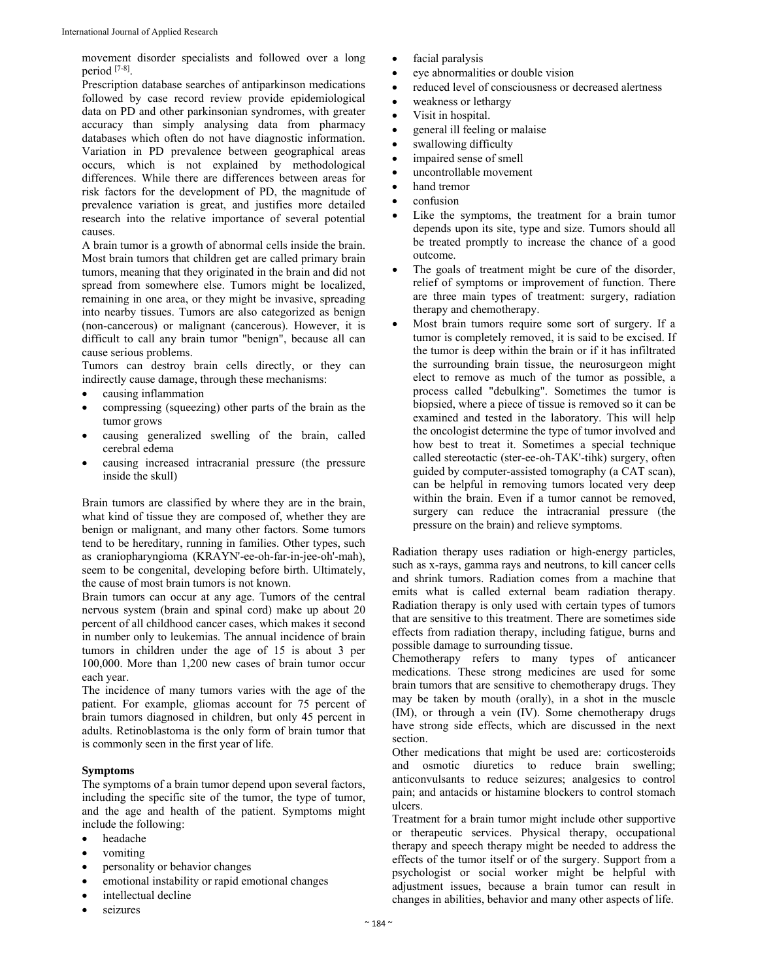movement disorder specialists and followed over a long period [7-8].

Prescription database searches of antiparkinson medications followed by case record review provide epidemiological data on PD and other parkinsonian syndromes, with greater accuracy than simply analysing data from pharmacy databases which often do not have diagnostic information. Variation in PD prevalence between geographical areas occurs, which is not explained by methodological differences. While there are differences between areas for risk factors for the development of PD, the magnitude of prevalence variation is great, and justifies more detailed research into the relative importance of several potential causes.

A brain tumor is a growth of abnormal cells inside the brain. Most brain tumors that children get are called primary brain tumors, meaning that they originated in the brain and did not spread from somewhere else. Tumors might be localized, remaining in one area, or they might be invasive, spreading into nearby tissues. Tumors are also categorized as benign (non-cancerous) or malignant (cancerous). However, it is difficult to call any brain tumor "benign", because all can cause serious problems.

Tumors can destroy brain cells directly, or they can indirectly cause damage, through these mechanisms:

- causing inflammation
- compressing (squeezing) other parts of the brain as the tumor grows
- causing generalized swelling of the brain, called cerebral edema
- causing increased intracranial pressure (the pressure inside the skull)

Brain tumors are classified by where they are in the brain, what kind of tissue they are composed of, whether they are benign or malignant, and many other factors. Some tumors tend to be hereditary, running in families. Other types, such as craniopharyngioma (KRAYN'-ee-oh-far-in-jee-oh'-mah), seem to be congenital, developing before birth. Ultimately, the cause of most brain tumors is not known.

Brain tumors can occur at any age. Tumors of the central nervous system (brain and spinal cord) make up about 20 percent of all childhood cancer cases, which makes it second in number only to leukemias. The annual incidence of brain tumors in children under the age of 15 is about 3 per 100,000. More than 1,200 new cases of brain tumor occur each year.

The incidence of many tumors varies with the age of the patient. For example, gliomas account for 75 percent of brain tumors diagnosed in children, but only 45 percent in adults. Retinoblastoma is the only form of brain tumor that is commonly seen in the first year of life.

### **Symptoms**

The symptoms of a brain tumor depend upon several factors, including the specific site of the tumor, the type of tumor, and the age and health of the patient. Symptoms might include the following:

- headache
- vomiting
- personality or behavior changes
- emotional instability or rapid emotional changes
- intellectual decline
- seizures
- facial paralysis
- eye abnormalities or double vision
- reduced level of consciousness or decreased alertness
- weakness or lethargy
- Visit in hospital.
- general ill feeling or malaise
- swallowing difficulty
- impaired sense of smell
- uncontrollable movement
- hand tremor
- confusion
- Like the symptoms, the treatment for a brain tumor depends upon its site, type and size. Tumors should all be treated promptly to increase the chance of a good outcome.
- The goals of treatment might be cure of the disorder, relief of symptoms or improvement of function. There are three main types of treatment: surgery, radiation therapy and chemotherapy.
- Most brain tumors require some sort of surgery. If a tumor is completely removed, it is said to be excised. If the tumor is deep within the brain or if it has infiltrated the surrounding brain tissue, the neurosurgeon might elect to remove as much of the tumor as possible, a process called "debulking". Sometimes the tumor is biopsied, where a piece of tissue is removed so it can be examined and tested in the laboratory. This will help the oncologist determine the type of tumor involved and how best to treat it. Sometimes a special technique called stereotactic (ster-ee-oh-TAK'-tihk) surgery, often guided by computer-assisted tomography (a CAT scan), can be helpful in removing tumors located very deep within the brain. Even if a tumor cannot be removed, surgery can reduce the intracranial pressure (the pressure on the brain) and relieve symptoms.

Radiation therapy uses radiation or high-energy particles, such as x-rays, gamma rays and neutrons, to kill cancer cells and shrink tumors. Radiation comes from a machine that emits what is called external beam radiation therapy. Radiation therapy is only used with certain types of tumors that are sensitive to this treatment. There are sometimes side effects from radiation therapy, including fatigue, burns and possible damage to surrounding tissue.

Chemotherapy refers to many types of anticancer medications. These strong medicines are used for some brain tumors that are sensitive to chemotherapy drugs. They may be taken by mouth (orally), in a shot in the muscle (IM), or through a vein (IV). Some chemotherapy drugs have strong side effects, which are discussed in the next section.

Other medications that might be used are: corticosteroids and osmotic diuretics to reduce brain swelling; anticonvulsants to reduce seizures; analgesics to control pain; and antacids or histamine blockers to control stomach ulcers.

Treatment for a brain tumor might include other supportive or therapeutic services. Physical therapy, occupational therapy and speech therapy might be needed to address the effects of the tumor itself or of the surgery. Support from a psychologist or social worker might be helpful with adjustment issues, because a brain tumor can result in changes in abilities, behavior and many other aspects of life.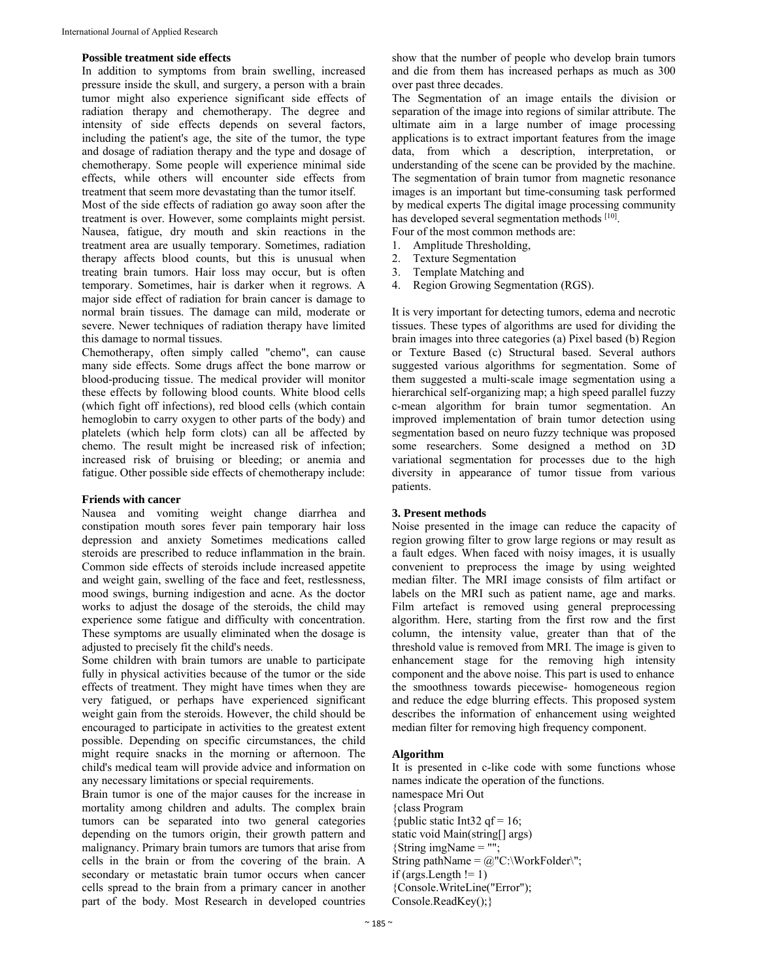#### **Possible treatment side effects**

In addition to symptoms from brain swelling, increased pressure inside the skull, and surgery, a person with a brain tumor might also experience significant side effects of radiation therapy and chemotherapy. The degree and intensity of side effects depends on several factors, including the patient's age, the site of the tumor, the type and dosage of radiation therapy and the type and dosage of chemotherapy. Some people will experience minimal side effects, while others will encounter side effects from treatment that seem more devastating than the tumor itself.

Most of the side effects of radiation go away soon after the treatment is over. However, some complaints might persist. Nausea, fatigue, dry mouth and skin reactions in the treatment area are usually temporary. Sometimes, radiation therapy affects blood counts, but this is unusual when treating brain tumors. Hair loss may occur, but is often temporary. Sometimes, hair is darker when it regrows. A major side effect of radiation for brain cancer is damage to normal brain tissues. The damage can mild, moderate or severe. Newer techniques of radiation therapy have limited this damage to normal tissues.

Chemotherapy, often simply called "chemo", can cause many side effects. Some drugs affect the bone marrow or blood-producing tissue. The medical provider will monitor these effects by following blood counts. White blood cells (which fight off infections), red blood cells (which contain hemoglobin to carry oxygen to other parts of the body) and platelets (which help form clots) can all be affected by chemo. The result might be increased risk of infection; increased risk of bruising or bleeding; or anemia and fatigue. Other possible side effects of chemotherapy include:

#### **Friends with cancer**

Nausea and vomiting weight change diarrhea and constipation mouth sores fever pain temporary hair loss depression and anxiety Sometimes medications called steroids are prescribed to reduce inflammation in the brain. Common side effects of steroids include increased appetite and weight gain, swelling of the face and feet, restlessness, mood swings, burning indigestion and acne. As the doctor works to adjust the dosage of the steroids, the child may experience some fatigue and difficulty with concentration. These symptoms are usually eliminated when the dosage is adjusted to precisely fit the child's needs.

Some children with brain tumors are unable to participate fully in physical activities because of the tumor or the side effects of treatment. They might have times when they are very fatigued, or perhaps have experienced significant weight gain from the steroids. However, the child should be encouraged to participate in activities to the greatest extent possible. Depending on specific circumstances, the child might require snacks in the morning or afternoon. The child's medical team will provide advice and information on any necessary limitations or special requirements.

Brain tumor is one of the major causes for the increase in mortality among children and adults. The complex brain tumors can be separated into two general categories depending on the tumors origin, their growth pattern and malignancy. Primary brain tumors are tumors that arise from cells in the brain or from the covering of the brain. A secondary or metastatic brain tumor occurs when cancer cells spread to the brain from a primary cancer in another part of the body. Most Research in developed countries

show that the number of people who develop brain tumors and die from them has increased perhaps as much as 300 over past three decades.

The Segmentation of an image entails the division or separation of the image into regions of similar attribute. The ultimate aim in a large number of image processing applications is to extract important features from the image data, from which a description, interpretation, or understanding of the scene can be provided by the machine. The segmentation of brain tumor from magnetic resonance images is an important but time-consuming task performed by medical experts The digital image processing community has developed several segmentation methods [10].

Four of the most common methods are:

- 1. Amplitude Thresholding,
- 2. Texture Segmentation
- 3. Template Matching and
- 4. Region Growing Segmentation (RGS).

It is very important for detecting tumors, edema and necrotic tissues. These types of algorithms are used for dividing the brain images into three categories (a) Pixel based (b) Region or Texture Based (c) Structural based. Several authors suggested various algorithms for segmentation. Some of them suggested a multi-scale image segmentation using a hierarchical self-organizing map; a high speed parallel fuzzy c-mean algorithm for brain tumor segmentation. An improved implementation of brain tumor detection using segmentation based on neuro fuzzy technique was proposed some researchers. Some designed a method on 3D variational segmentation for processes due to the high diversity in appearance of tumor tissue from various patients.

#### **3. Present methods**

Noise presented in the image can reduce the capacity of region growing filter to grow large regions or may result as a fault edges. When faced with noisy images, it is usually convenient to preprocess the image by using weighted median filter. The MRI image consists of film artifact or labels on the MRI such as patient name, age and marks. Film artefact is removed using general preprocessing algorithm. Here, starting from the first row and the first column, the intensity value, greater than that of the threshold value is removed from MRI. The image is given to enhancement stage for the removing high intensity component and the above noise. This part is used to enhance the smoothness towards piecewise- homogeneous region and reduce the edge blurring effects. This proposed system describes the information of enhancement using weighted median filter for removing high frequency component.

#### **Algorithm**

It is presented in c-like code with some functions whose names indicate the operation of the functions. namespace Mri Out {class Program {public static Int32 qf = 16; static void Main(string[] args) {String imgName = ""; String pathName =  $@$ "C:\WorkFolder\"; if (args.Length  $!= 1$ ) {Console.WriteLine("Error"); Console.ReadKey();}